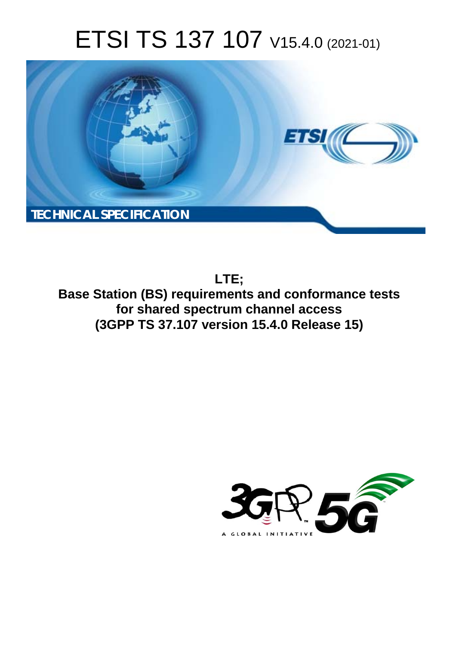# ETSI TS 137 107 V15.4.0 (2021-01)



**LTE; Base Station (BS) requirements and conformance tests for shared spectrum channel access (3GPP TS 37.107 version 15.4.0 Release 15)** 

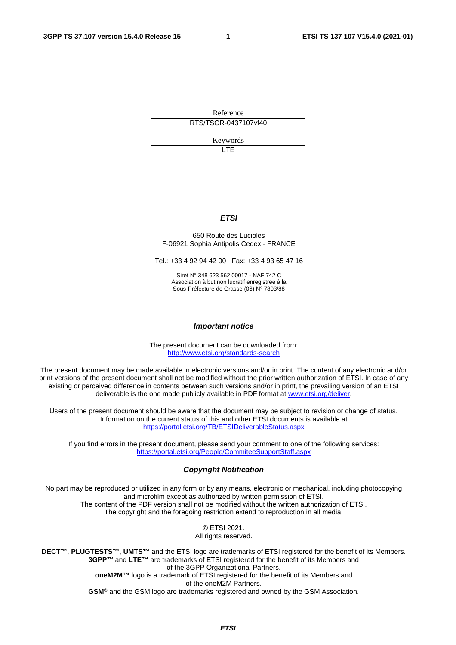Reference

RTS/TSGR-0437107vf40

Keywords

LTE

#### *ETSI*

#### 650 Route des Lucioles F-06921 Sophia Antipolis Cedex - FRANCE

Tel.: +33 4 92 94 42 00 Fax: +33 4 93 65 47 16

Siret N° 348 623 562 00017 - NAF 742 C Association à but non lucratif enregistrée à la Sous-Préfecture de Grasse (06) N° 7803/88

#### *Important notice*

The present document can be downloaded from: <http://www.etsi.org/standards-search>

The present document may be made available in electronic versions and/or in print. The content of any electronic and/or print versions of the present document shall not be modified without the prior written authorization of ETSI. In case of any existing or perceived difference in contents between such versions and/or in print, the prevailing version of an ETSI deliverable is the one made publicly available in PDF format at [www.etsi.org/deliver](http://www.etsi.org/deliver).

Users of the present document should be aware that the document may be subject to revision or change of status. Information on the current status of this and other ETSI documents is available at <https://portal.etsi.org/TB/ETSIDeliverableStatus.aspx>

If you find errors in the present document, please send your comment to one of the following services: <https://portal.etsi.org/People/CommiteeSupportStaff.aspx>

#### *Copyright Notification*

No part may be reproduced or utilized in any form or by any means, electronic or mechanical, including photocopying and microfilm except as authorized by written permission of ETSI. The content of the PDF version shall not be modified without the written authorization of ETSI. The copyright and the foregoing restriction extend to reproduction in all media.

> © ETSI 2021. All rights reserved.

**DECT™**, **PLUGTESTS™**, **UMTS™** and the ETSI logo are trademarks of ETSI registered for the benefit of its Members. **3GPP™** and **LTE™** are trademarks of ETSI registered for the benefit of its Members and of the 3GPP Organizational Partners. **oneM2M™** logo is a trademark of ETSI registered for the benefit of its Members and of the oneM2M Partners. **GSM®** and the GSM logo are trademarks registered and owned by the GSM Association.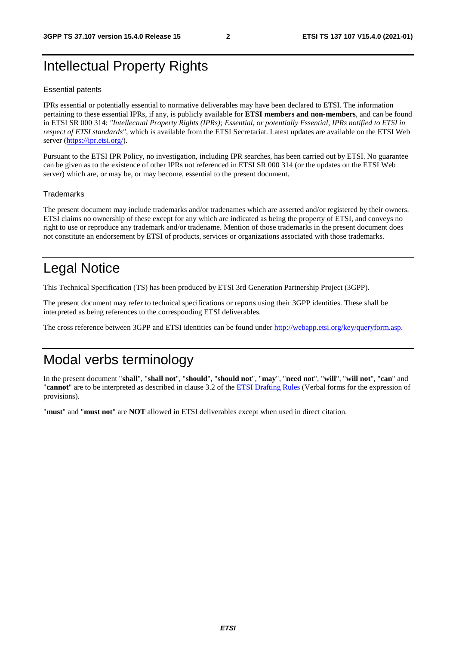# Intellectual Property Rights

#### Essential patents

IPRs essential or potentially essential to normative deliverables may have been declared to ETSI. The information pertaining to these essential IPRs, if any, is publicly available for **ETSI members and non-members**, and can be found in ETSI SR 000 314: *"Intellectual Property Rights (IPRs); Essential, or potentially Essential, IPRs notified to ETSI in respect of ETSI standards"*, which is available from the ETSI Secretariat. Latest updates are available on the ETSI Web server [\(https://ipr.etsi.org/](https://ipr.etsi.org/)).

Pursuant to the ETSI IPR Policy, no investigation, including IPR searches, has been carried out by ETSI. No guarantee can be given as to the existence of other IPRs not referenced in ETSI SR 000 314 (or the updates on the ETSI Web server) which are, or may be, or may become, essential to the present document.

#### **Trademarks**

The present document may include trademarks and/or tradenames which are asserted and/or registered by their owners. ETSI claims no ownership of these except for any which are indicated as being the property of ETSI, and conveys no right to use or reproduce any trademark and/or tradename. Mention of those trademarks in the present document does not constitute an endorsement by ETSI of products, services or organizations associated with those trademarks.

# Legal Notice

This Technical Specification (TS) has been produced by ETSI 3rd Generation Partnership Project (3GPP).

The present document may refer to technical specifications or reports using their 3GPP identities. These shall be interpreted as being references to the corresponding ETSI deliverables.

The cross reference between 3GPP and ETSI identities can be found under<http://webapp.etsi.org/key/queryform.asp>.

# Modal verbs terminology

In the present document "**shall**", "**shall not**", "**should**", "**should not**", "**may**", "**need not**", "**will**", "**will not**", "**can**" and "**cannot**" are to be interpreted as described in clause 3.2 of the [ETSI Drafting Rules](https://portal.etsi.org/Services/editHelp!/Howtostart/ETSIDraftingRules.aspx) (Verbal forms for the expression of provisions).

"**must**" and "**must not**" are **NOT** allowed in ETSI deliverables except when used in direct citation.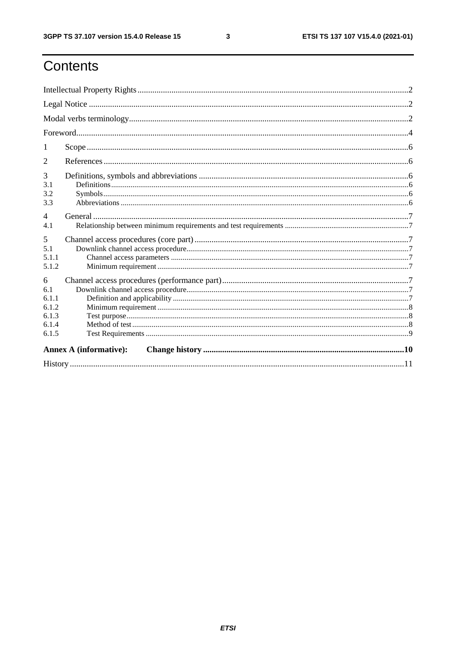# Contents

| 1                                                     |  |  |  |  |
|-------------------------------------------------------|--|--|--|--|
| $\overline{2}$                                        |  |  |  |  |
| 3<br>3.1<br>3.2<br>3.3                                |  |  |  |  |
| $\overline{4}$<br>4.1                                 |  |  |  |  |
| 5<br>5.1<br>5.1.1<br>5.1.2                            |  |  |  |  |
| 6<br>6.1<br>6.1.1<br>6.1.2<br>6.1.3<br>6.1.4<br>6.1.5 |  |  |  |  |
| <b>Annex A (informative):</b>                         |  |  |  |  |
|                                                       |  |  |  |  |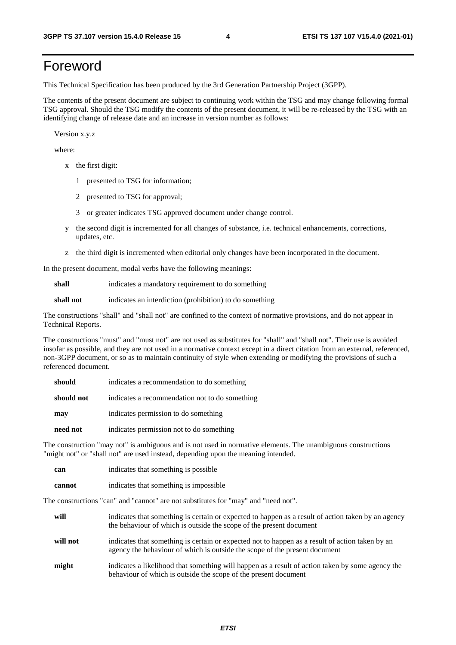# Foreword

This Technical Specification has been produced by the 3rd Generation Partnership Project (3GPP).

The contents of the present document are subject to continuing work within the TSG and may change following formal TSG approval. Should the TSG modify the contents of the present document, it will be re-released by the TSG with an identifying change of release date and an increase in version number as follows:

Version x.y.z

where:

- x the first digit:
	- 1 presented to TSG for information;
	- 2 presented to TSG for approval;
	- 3 or greater indicates TSG approved document under change control.
- y the second digit is incremented for all changes of substance, i.e. technical enhancements, corrections, updates, etc.
- z the third digit is incremented when editorial only changes have been incorporated in the document.

In the present document, modal verbs have the following meanings:

**shall** indicates a mandatory requirement to do something

**shall not** indicates an interdiction (prohibition) to do something

The constructions "shall" and "shall not" are confined to the context of normative provisions, and do not appear in Technical Reports.

The constructions "must" and "must not" are not used as substitutes for "shall" and "shall not". Their use is avoided insofar as possible, and they are not used in a normative context except in a direct citation from an external, referenced, non-3GPP document, or so as to maintain continuity of style when extending or modifying the provisions of such a referenced document.

| should     | indicates a recommendation to do something     |
|------------|------------------------------------------------|
| should not | indicates a recommendation not to do something |
| may        | indicates permission to do something           |
| need not   | indicates permission not to do something       |

The construction "may not" is ambiguous and is not used in normative elements. The unambiguous constructions "might not" or "shall not" are used instead, depending upon the meaning intended.

| can    | indicates that something is possible.  |
|--------|----------------------------------------|
| cannot | indicates that something is impossible |

The constructions "can" and "cannot" are not substitutes for "may" and "need not".

| will     | indicates that something is certain or expected to happen as a result of action taken by an agency<br>the behaviour of which is outside the scope of the present document     |
|----------|-------------------------------------------------------------------------------------------------------------------------------------------------------------------------------|
| will not | indicates that something is certain or expected not to happen as a result of action taken by an<br>agency the behaviour of which is outside the scope of the present document |
| might    | indicates a likelihood that something will happen as a result of action taken by some agency the<br>behaviour of which is outside the scope of the present document           |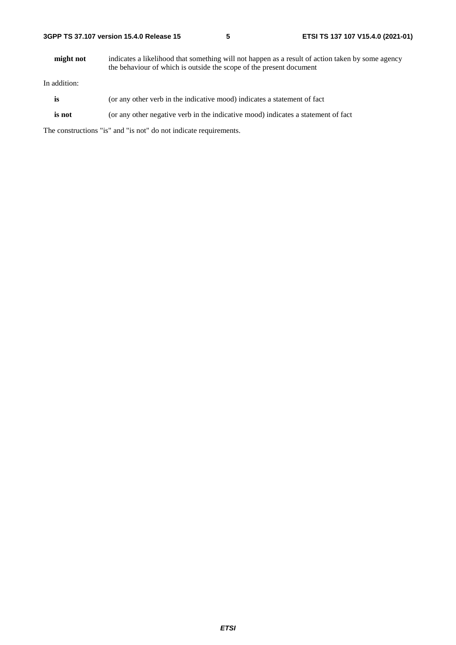**might not** indicates a likelihood that something will not happen as a result of action taken by some agency the behaviour of which is outside the scope of the present document

In addition:

- **is** (or any other verb in the indicative mood) indicates a statement of fact
- **is not** (or any other negative verb in the indicative mood) indicates a statement of fact

The constructions "is" and "is not" do not indicate requirements.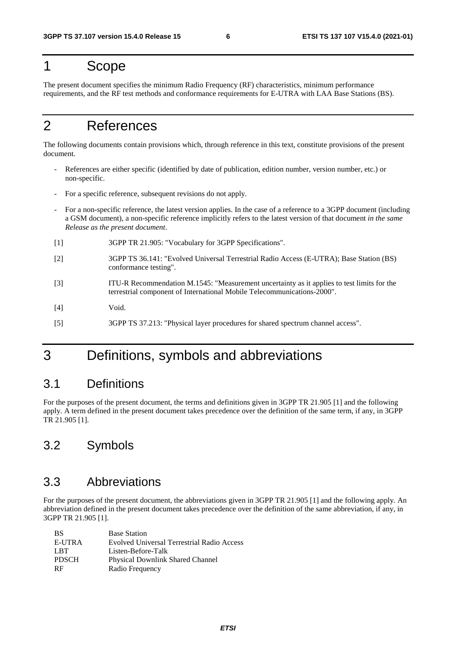### 1 Scope

The present document specifies the minimum Radio Frequency (RF) characteristics, minimum performance requirements, and the RF test methods and conformance requirements for E-UTRA with LAA Base Stations (BS).

# 2 References

The following documents contain provisions which, through reference in this text, constitute provisions of the present document.

- References are either specific (identified by date of publication, edition number, version number, etc.) or non-specific.
- For a specific reference, subsequent revisions do not apply.
- For a non-specific reference, the latest version applies. In the case of a reference to a 3GPP document (including a GSM document), a non-specific reference implicitly refers to the latest version of that document *in the same Release as the present document*.
- [1] 3GPP TR 21.905: "Vocabulary for 3GPP Specifications".
- [2] 3GPP TS 36.141: "Evolved Universal Terrestrial Radio Access (E-UTRA); Base Station (BS) conformance testing".
- [3] ITU-R Recommendation M.1545: "Measurement uncertainty as it applies to test limits for the terrestrial component of International Mobile Telecommunications-2000".

[4] Void.

[5] 3GPP TS 37.213: "Physical layer procedures for shared spectrum channel access".

# 3 Definitions, symbols and abbreviations

### 3.1 Definitions

For the purposes of the present document, the terms and definitions given in 3GPP TR 21.905 [1] and the following apply. A term defined in the present document takes precedence over the definition of the same term, if any, in 3GPP TR 21.905 [1].

### 3.2 Symbols

### 3.3 Abbreviations

For the purposes of the present document, the abbreviations given in 3GPP TR 21.905 [1] and the following apply. An abbreviation defined in the present document takes precedence over the definition of the same abbreviation, if any, in 3GPP TR 21.905 [1].

| <b>BS</b>    | <b>Base Station</b>                        |
|--------------|--------------------------------------------|
| E-UTRA       | Evolved Universal Terrestrial Radio Access |
| LBT.         | Listen-Before-Talk                         |
| <b>PDSCH</b> | <b>Physical Downlink Shared Channel</b>    |
| <b>RF</b>    | Radio Frequency                            |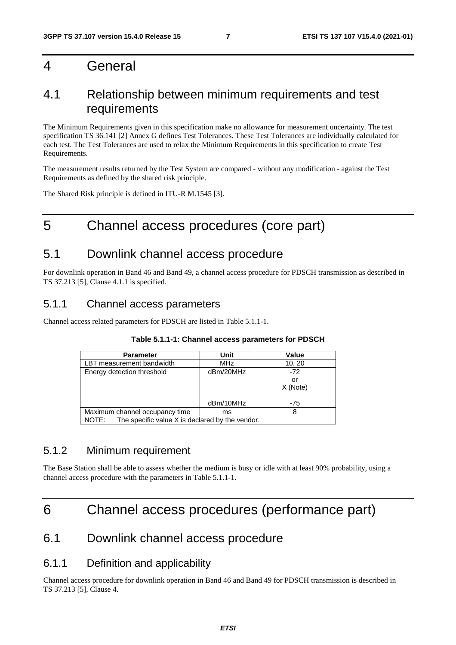### 4 General

### 4.1 Relationship between minimum requirements and test requirements

The Minimum Requirements given in this specification make no allowance for measurement uncertainty. The test specification TS 36.141 [2] Annex G defines Test Tolerances. These Test Tolerances are individually calculated for each test. The Test Tolerances are used to relax the Minimum Requirements in this specification to create Test Requirements.

The measurement results returned by the Test System are compared - without any modification - against the Test Requirements as defined by the shared risk principle.

The Shared Risk principle is defined in ITU-R M.1545 [3].

# 5 Channel access procedures (core part)

### 5.1 Downlink channel access procedure

For downlink operation in Band 46 and Band 49, a channel access procedure for PDSCH transmission as described in TS 37.213 [5], Clause 4.1.1 is specified.

### 5.1.1 Channel access parameters

Channel access related parameters for PDSCH are listed in Table 5.1.1-1.

| <b>Parameter</b>                                         | Unit       | Value    |  |
|----------------------------------------------------------|------------|----------|--|
| LBT measurement bandwidth                                | <b>MHz</b> | 10, 20   |  |
| Energy detection threshold                               | dBm/20MHz  | $-72$    |  |
|                                                          |            | or       |  |
|                                                          |            | X (Note) |  |
|                                                          | dBm/10MHz  | $-75$    |  |
| Maximum channel occupancy time                           | ms         |          |  |
| The specific value X is declared by the vendor.<br>NOTE: |            |          |  |

#### **Table 5.1.1-1: Channel access parameters for PDSCH**

#### 5.1.2 Minimum requirement

The Base Station shall be able to assess whether the medium is busy or idle with at least 90% probability, using a channel access procedure with the parameters in Table 5.1.1-1.

## 6 Channel access procedures (performance part)

### 6.1 Downlink channel access procedure

#### 6.1.1 Definition and applicability

Channel access procedure for downlink operation in Band 46 and Band 49 for PDSCH transmission is described in TS 37.213 [5], Clause 4.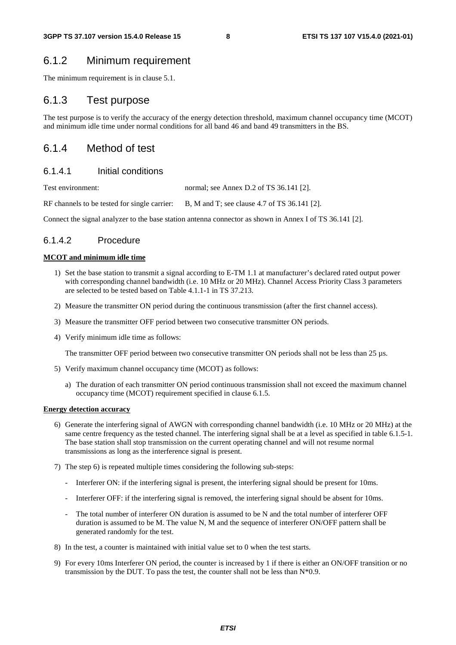### 6.1.2 Minimum requirement

The minimum requirement is in clause 5.1.

#### 6.1.3 Test purpose

The test purpose is to verify the accuracy of the energy detection threshold, maximum channel occupancy time (MCOT) and minimum idle time under normal conditions for all band 46 and band 49 transmitters in the BS.

### 6.1.4 Method of test

#### 6.1.4.1 Initial conditions

Test environment: normal; see Annex D.2 of TS 36.141 [2].

RF channels to be tested for single carrier: B, M and T; see clause 4.7 of TS 36.141 [2].

Connect the signal analyzer to the base station antenna connector as shown in Annex I of TS 36.141 [2].

#### 6.1.4.2 Procedure

#### **MCOT and minimum idle time**

- 1) Set the base station to transmit a signal according to E-TM 1.1 at manufacturer's declared rated output power with corresponding channel bandwidth (i.e. 10 MHz or 20 MHz). Channel Access Priority Class 3 parameters are selected to be tested based on Table 4.1.1-1 in TS 37.213.
- 2) Measure the transmitter ON period during the continuous transmission (after the first channel access).
- 3) Measure the transmitter OFF period between two consecutive transmitter ON periods.
- 4) Verify minimum idle time as follows:

The transmitter OFF period between two consecutive transmitter ON periods shall not be less than 25 µs.

- 5) Verify maximum channel occupancy time (MCOT) as follows:
	- a) The duration of each transmitter ON period continuous transmission shall not exceed the maximum channel occupancy time (MCOT) requirement specified in clause 6.1.5.

#### **Energy detection accuracy**

- 6) Generate the interfering signal of AWGN with corresponding channel bandwidth (i.e. 10 MHz or 20 MHz) at the same centre frequency as the tested channel. The interfering signal shall be at a level as specified in table 6.1.5-1. The base station shall stop transmission on the current operating channel and will not resume normal transmissions as long as the interference signal is present.
- 7) The step 6) is repeated multiple times considering the following sub-steps:
	- Interferer ON: if the interfering signal is present, the interfering signal should be present for 10ms.
	- Interferer OFF: if the interfering signal is removed, the interfering signal should be absent for 10ms.
	- The total number of interferer ON duration is assumed to be N and the total number of interferer OFF duration is assumed to be M. The value N, M and the sequence of interferer ON/OFF pattern shall be generated randomly for the test.
- 8) In the test, a counter is maintained with initial value set to 0 when the test starts.
- 9) For every 10ms Interferer ON period, the counter is increased by 1 if there is either an ON/OFF transition or no transmission by the DUT. To pass the test, the counter shall not be less than  $N*0.9$ .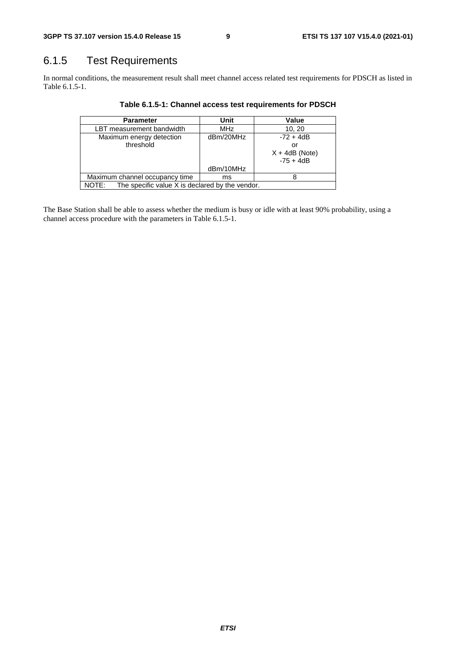## 6.1.5 Test Requirements

In normal conditions, the measurement result shall meet channel access related test requirements for PDSCH as listed in Table 6.1.5-1.

| <b>Parameter</b>                                         | Unit       | Value            |  |
|----------------------------------------------------------|------------|------------------|--|
| LBT measurement bandwidth                                | <b>MHz</b> | 10, 20           |  |
| Maximum energy detection                                 | dBm/20MHz  | $-72 + 4dB$      |  |
| threshold                                                |            | or               |  |
|                                                          |            | $X + 4dB$ (Note) |  |
|                                                          |            | $-75 + 4dB$      |  |
|                                                          | dBm/10MHz  |                  |  |
| Maximum channel occupancy time                           | ms         |                  |  |
| The specific value X is declared by the vendor.<br>NOTE: |            |                  |  |

**Table 6.1.5-1: Channel access test requirements for PDSCH** 

The Base Station shall be able to assess whether the medium is busy or idle with at least 90% probability, using a channel access procedure with the parameters in Table 6.1.5-1.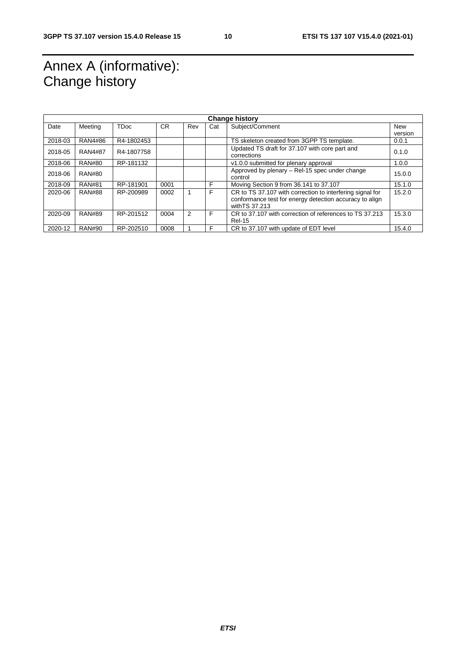# Annex A (informative): Change history

| <b>Change history</b> |                |             |           |               |     |                                                                                                                                        |         |
|-----------------------|----------------|-------------|-----------|---------------|-----|----------------------------------------------------------------------------------------------------------------------------------------|---------|
| Date                  | Meeting        | <b>TDoc</b> | <b>CR</b> | Rev           | Cat | Subject/Comment                                                                                                                        | New     |
|                       |                |             |           |               |     |                                                                                                                                        | version |
| 2018-03               | <b>RAN4#86</b> | R4-1802453  |           |               |     | TS skeleton created from 3GPP TS template.                                                                                             | 0.0.1   |
| 2018-05               | <b>RAN4#87</b> | R4-1807758  |           |               |     | Updated TS draft for 37.107 with core part and<br>corrections                                                                          | 0.1.0   |
| 2018-06               | <b>RAN#80</b>  | RP-181132   |           |               |     | v1.0.0 submitted for plenary approval                                                                                                  | 1.0.0   |
| 2018-06               | <b>RAN#80</b>  |             |           |               |     | Approved by plenary – Rel-15 spec under change<br>control                                                                              | 15.0.0  |
| 2018-09               | <b>RAN#81</b>  | RP-181901   | 0001      |               | F   | Moving Section 9 from 36.141 to 37.107                                                                                                 | 15.1.0  |
| 2020-06               | <b>RAN#88</b>  | RP-200989   | 0002      |               | F   | CR to TS 37.107 with correction to interfering signal for<br>conformance test for energy detection accuracy to align<br>with TS 37.213 | 15.2.0  |
| 2020-09               | <b>RAN#89</b>  | RP-201512   | 0004      | $\mathcal{P}$ | F   | CR to 37,107 with correction of references to TS 37,213<br><b>Rel-15</b>                                                               | 15.3.0  |
| 2020-12               | <b>RAN#90</b>  | RP-202510   | 0008      |               | F   | CR to 37.107 with update of EDT level                                                                                                  | 15.4.0  |